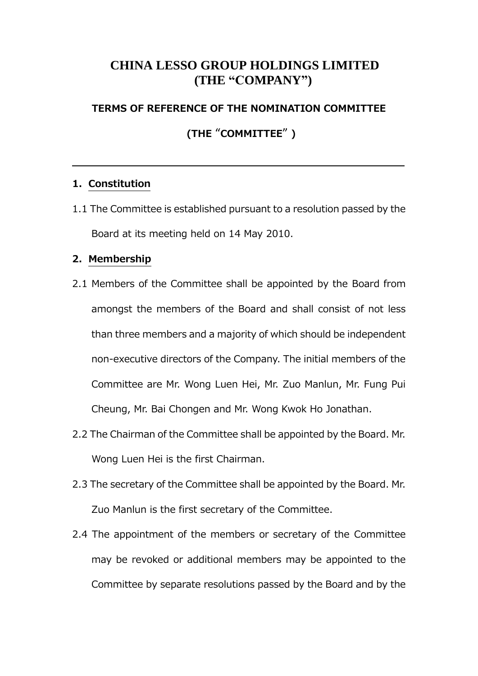## **CHINA LESSO GROUP HOLDINGS LIMITED (THE "COMPANY")**

## **TERMS OF REFERENCE OF THE NOMINATION COMMITTEE**

**(THE** "**COMMITTEE**" **)**

## **1.Constitution**

1.1 The Committee is established pursuant to a resolution passed by the Board at its meeting held on 14 May 2010.

## **2.Membership**

- 2.1 Members of the Committee shall be appointed by the Board from amongst the members of the Board and shall consist of not less than three members and a majority of which should be independent non-executive directors of the Company. The initial members of the Committee are Mr. Wong Luen Hei, Mr. Zuo Manlun, Mr. Fung Pui Cheung, Mr. Bai Chongen and Mr. Wong Kwok Ho Jonathan.
- 2.2 The Chairman of the Committee shall be appointed by the Board. Mr. Wong Luen Hei is the first Chairman.
- 2.3 The secretary of the Committee shall be appointed by the Board. Mr. Zuo Manlun is the first secretary of the Committee.
- 2.4 The appointment of the members or secretary of the Committee may be revoked or additional members may be appointed to the Committee by separate resolutions passed by the Board and by the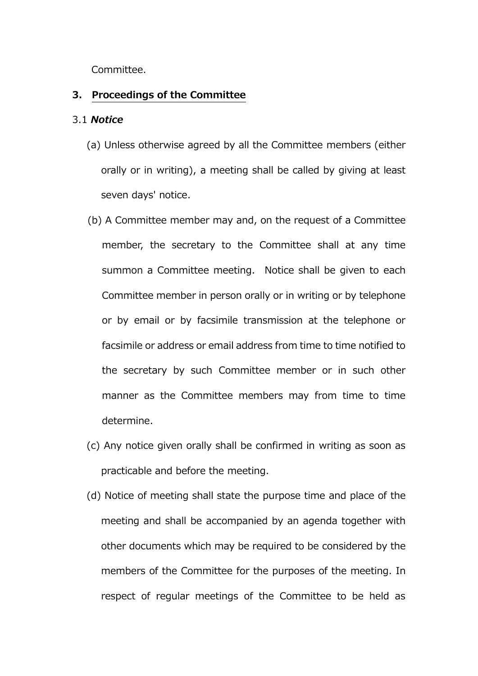Committee.

#### **3. Proceedings of the Committee**

#### 3.1 *Notice*

- (a) Unless otherwise agreed by all the Committee members (either orally or in writing), a meeting shall be called by giving at least seven days' notice.
- (b) A Committee member may and, on the request of a Committee member, the secretary to the Committee shall at any time summon a Committee meeting. Notice shall be given to each Committee member in person orally or in writing or by telephone or by email or by facsimile transmission at the telephone or facsimile or address or email address from time to time notified to the secretary by such Committee member or in such other manner as the Committee members may from time to time determine.
- (c) Any notice given orally shall be confirmed in writing as soon as practicable and before the meeting.
- (d) Notice of meeting shall state the purpose time and place of the meeting and shall be accompanied by an agenda together with other documents which may be required to be considered by the members of the Committee for the purposes of the meeting. In respect of regular meetings of the Committee to be held as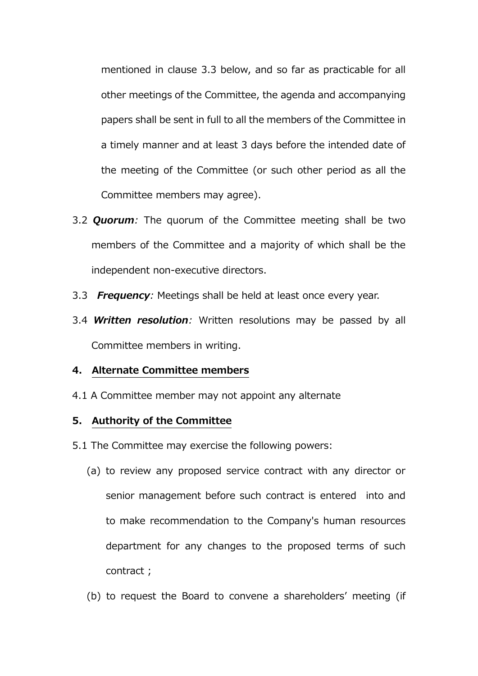mentioned in clause 3.3 below, and so far as practicable for all other meetings of the Committee, the agenda and accompanying papers shall be sent in full to all the members of the Committee in a timely manner and at least 3 days before the intended date of the meeting of the Committee (or such other period as all the Committee members may agree).

- 3.2 *Quorum:* The quorum of the Committee meeting shall be two members of the Committee and a majority of which shall be the independent non-executive directors.
- 3.3 *Frequency:* Meetings shall be held at least once every year.
- 3.4 *Written resolution:* Written resolutions may be passed by all Committee members in writing.

#### **4. Alternate Committee members**

4.1 A Committee member may not appoint any alternate

#### **5. Authority of the Committee**

- 5.1 The Committee may exercise the following powers:
	- (a) to review any proposed service contract with any director or senior management before such contract is entered into and to make recommendation to the Company's human resources department for any changes to the proposed terms of such contract ;
	- (b) to request the Board to convene a shareholders' meeting (if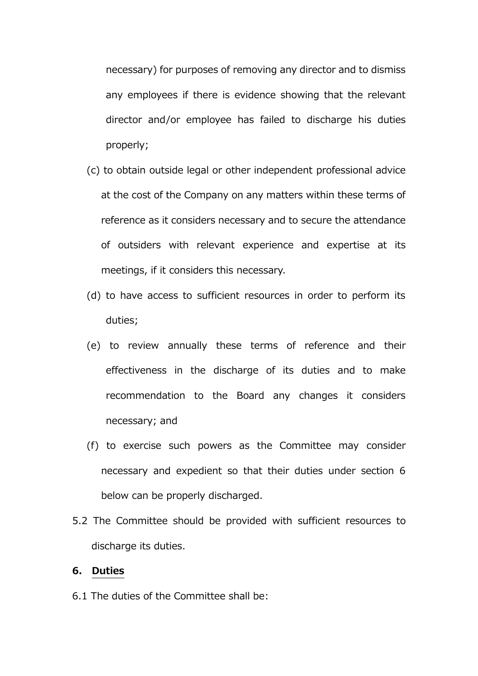necessary) for purposes of removing any director and to dismiss any employees if there is evidence showing that the relevant director and/or employee has failed to discharge his duties properly;

- (c) to obtain outside legal or other independent professional advice at the cost of the Company on any matters within these terms of reference as it considers necessary and to secure the attendance of outsiders with relevant experience and expertise at its meetings, if it considers this necessary.
- (d) to have access to sufficient resources in order to perform its duties;
- (e) to review annually these terms of reference and their effectiveness in the discharge of its duties and to make recommendation to the Board any changes it considers necessary; and
- (f) to exercise such powers as the Committee may consider necessary and expedient so that their duties under section 6 below can be properly discharged.
- 5.2 The Committee should be provided with sufficient resources to discharge its duties.

#### **6. Duties**

6.1 The duties of the Committee shall be: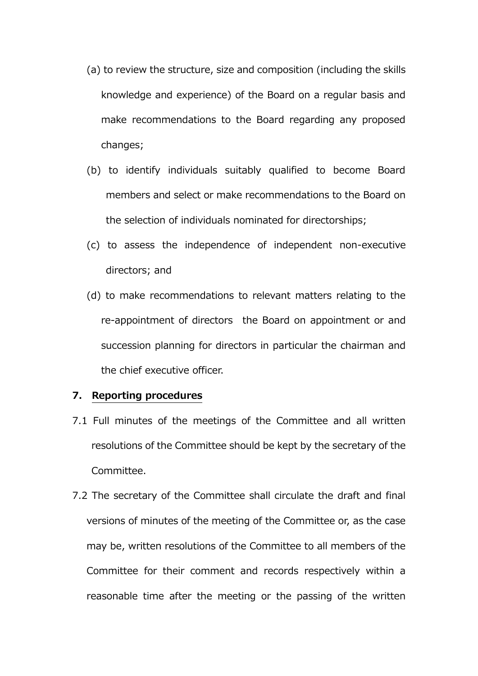- (a) to review the structure, size and composition (including the skills knowledge and experience) of the Board on a regular basis and make recommendations to the Board regarding any proposed changes;
- (b) to identify individuals suitably qualified to become Board members and select or make recommendations to the Board on the selection of individuals nominated for directorships;
- (c) to assess the independence of independent non-executive directors; and
- (d) to make recommendations to relevant matters relating to the re-appointment of directors the Board on appointment or and succession planning for directors in particular the chairman and the chief executive officer.

#### **7. Reporting procedures**

- 7.1 Full minutes of the meetings of the Committee and all written resolutions of the Committee should be kept by the secretary of the Committee.
- 7.2 The secretary of the Committee shall circulate the draft and final versions of minutes of the meeting of the Committee or, as the case may be, written resolutions of the Committee to all members of the Committee for their comment and records respectively within a reasonable time after the meeting or the passing of the written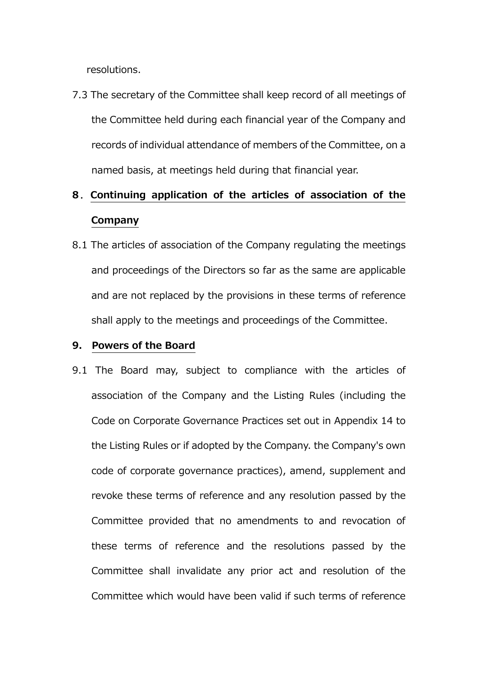resolutions.

7.3 The secretary of the Committee shall keep record of all meetings of the Committee held during each financial year of the Company and records of individual attendance of members of the Committee, on a named basis, at meetings held during that financial year.

# **8**.**Continuing application of the articles of association of the Company**

8.1 The articles of association of the Company regulating the meetings and proceedings of the Directors so far as the same are applicable and are not replaced by the provisions in these terms of reference shall apply to the meetings and proceedings of the Committee.

#### **9. Powers of the Board**

9.1 The Board may, subject to compliance with the articles of association of the Company and the Listing Rules (including the Code on Corporate Governance Practices set out in Appendix 14 to the Listing Rules or if adopted by the Company. the Company's own code of corporate governance practices), amend, supplement and revoke these terms of reference and any resolution passed by the Committee provided that no amendments to and revocation of these terms of reference and the resolutions passed by the Committee shall invalidate any prior act and resolution of the Committee which would have been valid if such terms of reference